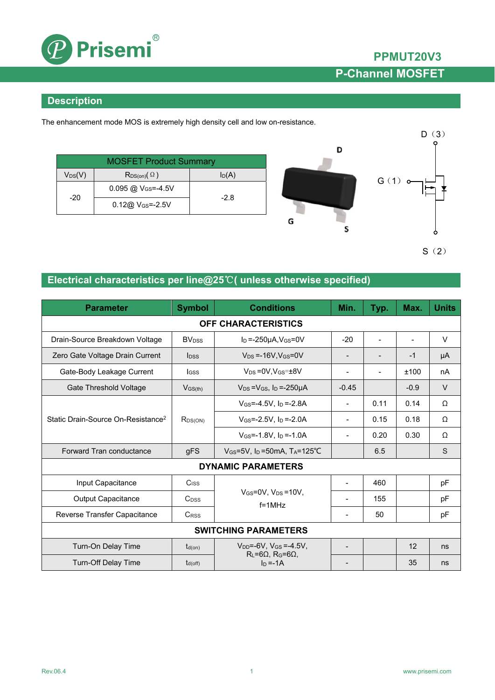

### **Description**

The enhancement mode MOS is extremely high density cell and low on-resistance.

| <b>MOSFET Product Summary</b> |                                  |          |  |
|-------------------------------|----------------------------------|----------|--|
| $V_{DS}(V)$                   | $R_{DS(on)}(\Omega)$             | $I_D(A)$ |  |
| $-20$                         | $0.095$ @ V <sub>GS</sub> =-4.5V | $-2.8$   |  |
|                               | $0.12@V$ <sub>GS</sub> =-2.5V    |          |  |



 $S(2)$ 

### **Electrical characteristics per line@25**℃**( unless otherwise specified)**

| <b>Parameter</b>                               | <b>Symbol</b>            | <b>Conditions</b>                                                      | Min.                         | Typ.           | Max.   | <b>Units</b> |
|------------------------------------------------|--------------------------|------------------------------------------------------------------------|------------------------------|----------------|--------|--------------|
| OFF CHARACTERISTICS                            |                          |                                                                        |                              |                |        |              |
| Drain-Source Breakdown Voltage                 | <b>BV</b> <sub>DSS</sub> | $I_D = -250\mu A$ , $V_{GS} = 0V$                                      | $-20$                        | $\blacksquare$ |        | V            |
| Zero Gate Voltage Drain Current                | <b>l</b> <sub>DSS</sub>  | $V_{DS} = -16V$ . $V_{GS} = 0V$                                        |                              |                | $-1$   | μA           |
| Gate-Body Leakage Current                      | lgss                     | $V_{DS} = 0V.V_{GS} = ±8V$                                             |                              |                | ±100   | nA           |
| Gate Threshold Voltage                         | $V$ <sub>GS(th)</sub>    | $V_{DS} = V_{GS}$ , $I_D = -250 \mu A$                                 | $-0.45$                      |                | $-0.9$ | $\vee$       |
|                                                | $R_{DS(ON)}$             | $V_{GS} = -4.5V$ . In $= -2.8A$                                        | $\overline{\phantom{a}}$     | 0.11           | 0.14   | Ω            |
| Static Drain-Source On-Resistance <sup>2</sup> |                          | $V$ <sub>GS</sub> =-2.5V, $I_D$ =-2.0A                                 | $\overline{\phantom{a}}$     | 0.15           | 0.18   | Ω            |
|                                                |                          | $V_{GS} = -1.8V$ , $I_D = -1.0A$                                       |                              | 0.20           | 0.30   | Ω            |
| Forward Tran conductance                       | gFS                      | $V_{GS}$ =5V, I <sub>D</sub> =50mA, T <sub>A</sub> =125 <sup>°</sup> C |                              | 6.5            |        | S            |
| <b>DYNAMIC PARAMETERS</b>                      |                          |                                                                        |                              |                |        |              |
| Input Capacitance                              | C <sub>ISS</sub>         | $V_{GS}=0V$ , $V_{DS}=10V$ ,<br>$f = 1$ MHz                            | $\qquad \qquad \blacksquare$ | 460            |        | pF           |
| <b>Output Capacitance</b>                      | $C_{DSS}$                |                                                                        |                              | 155            |        | pF           |
| Reverse Transfer Capacitance                   | <b>CRSS</b>              |                                                                        |                              | 50             |        | pF           |
| <b>SWITCHING PARAMETERS</b>                    |                          |                                                                        |                              |                |        |              |
| Turn-On Delay Time                             | $t_{d(on)}$              | $V_{DD} = -6V$ , $V_{GS} = -4.5V$ ,                                    | $\overline{\phantom{0}}$     |                | 12     | ns           |
| <b>Turn-Off Delay Time</b><br>$t_{d(off)}$     |                          | $R_L = 6\Omega$ , $R_G = 6\Omega$ ,<br>$In = -1A$                      |                              |                | 35     | ns           |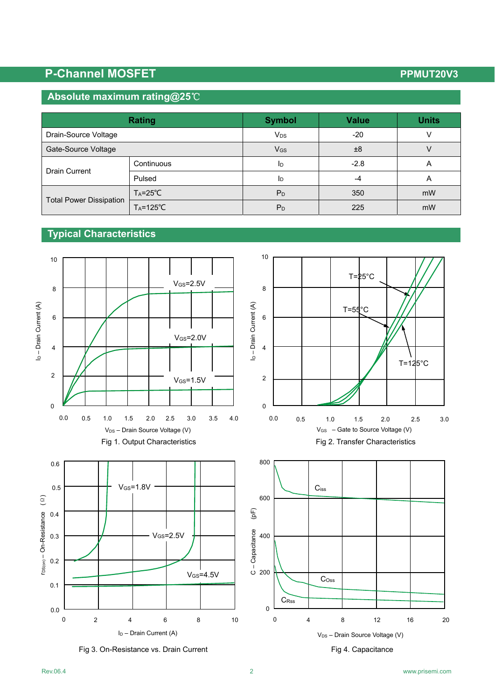# **P-Channel MOSFET P-Channel MOSFET**

### **Absolute maximum rating@25**℃

| <b>Rating</b>                  |                      | <b>Symbol</b>          | <b>Value</b> | <b>Units</b>   |
|--------------------------------|----------------------|------------------------|--------------|----------------|
| Drain-Source Voltage           |                      | <b>V</b> <sub>DS</sub> | $-20$        |                |
| Gate-Source Voltage            |                      | <b>V<sub>GS</sub></b>  | ±8           |                |
| <b>Drain Current</b>           | Continuous           | 1 <sub>D</sub>         | $-2.8$       | A              |
|                                | Pulsed               | ID                     | -4           | $\overline{A}$ |
| <b>Total Power Dissipation</b> | $T_A = 25^{\circ}C$  | P <sub>D</sub>         | 350          | mW             |
|                                | $T_A = 125^{\circ}C$ | $P_D$                  | 225          | mW             |

## **Typical Characteristics**



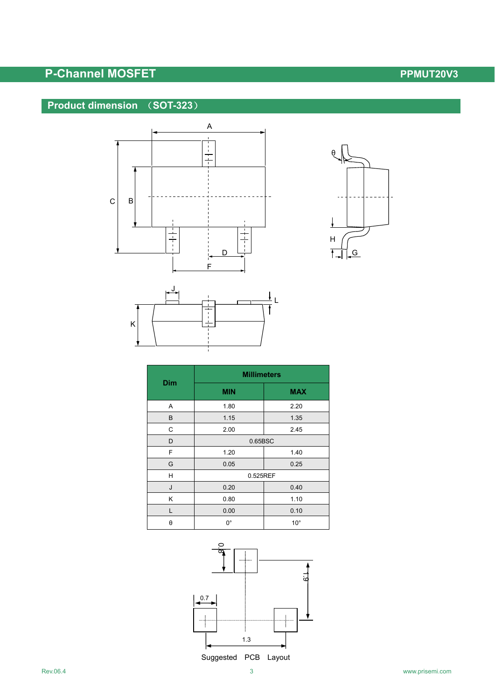## **P-Channel MOSFET P-Channel MOSFET**

### **Product dimension** (**SOT-323**)







| <b>Dim</b> | <b>Millimeters</b> |              |  |  |
|------------|--------------------|--------------|--|--|
|            | <b>MIN</b>         | <b>MAX</b>   |  |  |
| Α          | 1.80               | 2.20         |  |  |
| B          | 1.15               | 1.35         |  |  |
| C          | 2.00               | 2.45         |  |  |
| D          | 0.65BSC            |              |  |  |
| F          | 1.20               | 1.40         |  |  |
| G          | 0.05               | 0.25         |  |  |
| н          | 0.525REF           |              |  |  |
| J          | 0.20               | 0.40         |  |  |
| Κ          | 0.80               | 1.10         |  |  |
| L          | 0.00               | 0.10         |  |  |
| θ          | 0°                 | $10^{\circ}$ |  |  |

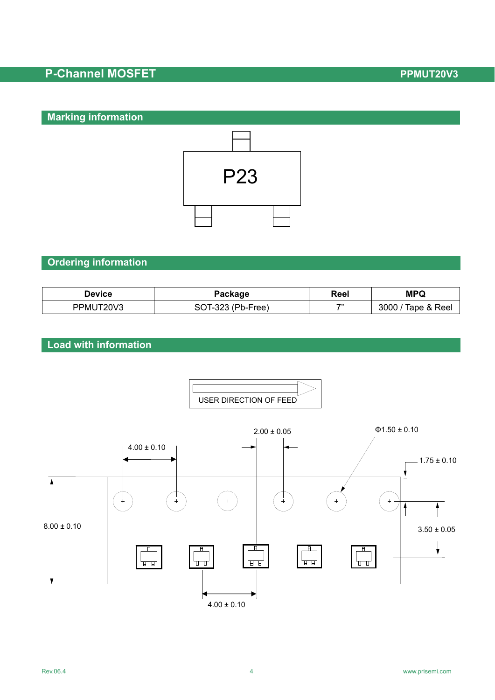## **P-Channel MOSFET P-Channel MOSFET**

### **Marking information**



### **Ordering information**

| <b>Device</b> | Package           | Reel | <b>MPQ</b>          |
|---------------|-------------------|------|---------------------|
| PPMUT20V3     | SOT-323 (Pb-Free) | 75   | Tape & Reel<br>3000 |

### **Load with information**